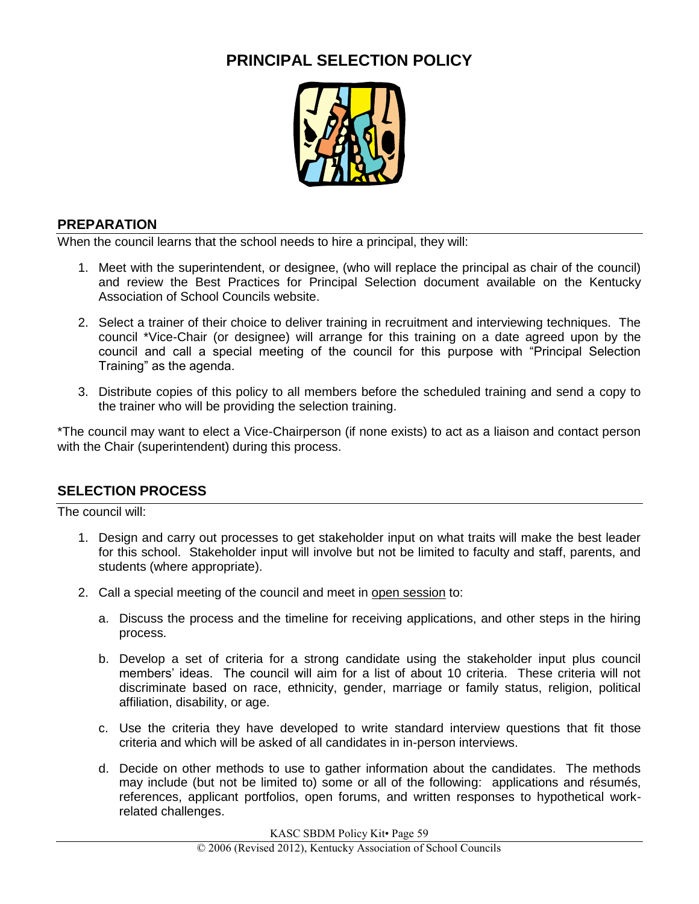# **PRINCIPAL SELECTION POLICY**



#### **PREPARATION**

When the council learns that the school needs to hire a principal, they will:

- 1. Meet with the superintendent, or designee, (who will replace the principal as chair of the council) and review the Best Practices for Principal Selection document available on the Kentucky Association of School Councils website.
- 2. Select a trainer of their choice to deliver training in recruitment and interviewing techniques. The council \*Vice-Chair (or designee) will arrange for this training on a date agreed upon by the council and call a special meeting of the council for this purpose with "Principal Selection Training" as the agenda.
- 3. Distribute copies of this policy to all members before the scheduled training and send a copy to the trainer who will be providing the selection training.

\*The council may want to elect a Vice-Chairperson (if none exists) to act as a liaison and contact person with the Chair (superintendent) during this process.

# **SELECTION PROCESS**

The council will:

- 1. Design and carry out processes to get stakeholder input on what traits will make the best leader for this school. Stakeholder input will involve but not be limited to faculty and staff, parents, and students (where appropriate).
- 2. Call a special meeting of the council and meet in open session to:
	- a. Discuss the process and the timeline for receiving applications, and other steps in the hiring process.
	- b. Develop a set of criteria for a strong candidate using the stakeholder input plus council members' ideas. The council will aim for a list of about 10 criteria. These criteria will not discriminate based on race, ethnicity, gender, marriage or family status, religion, political affiliation, disability, or age.
	- c. Use the criteria they have developed to write standard interview questions that fit those criteria and which will be asked of all candidates in in-person interviews.
	- d. Decide on other methods to use to gather information about the candidates. The methods may include (but not be limited to) some or all of the following: applications and résumés, references, applicant portfolios, open forums, and written responses to hypothetical workrelated challenges.

KASC SBDM Policy Kit• Page 59